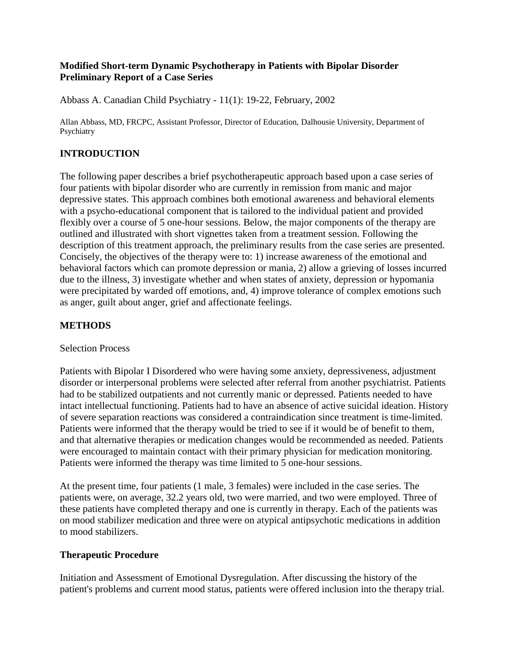### **Modified Short-term Dynamic Psychotherapy in Patients with Bipolar Disorder Preliminary Report of a Case Series**

Abbass A. Canadian Child Psychiatry - 11(1): 19-22, February, 2002

Allan Abbass, MD, FRCPC, Assistant Professor, Director of Education, Dalhousie University, Department of Psychiatry

## **INTRODUCTION**

The following paper describes a brief psychotherapeutic approach based upon a case series of four patients with bipolar disorder who are currently in remission from manic and major depressive states. This approach combines both emotional awareness and behavioral elements with a psycho-educational component that is tailored to the individual patient and provided flexibly over a course of 5 one-hour sessions. Below, the major components of the therapy are outlined and illustrated with short vignettes taken from a treatment session. Following the description of this treatment approach, the preliminary results from the case series are presented. Concisely, the objectives of the therapy were to: 1) increase awareness of the emotional and behavioral factors which can promote depression or mania, 2) allow a grieving of losses incurred due to the illness, 3) investigate whether and when states of anxiety, depression or hypomania were precipitated by warded off emotions, and, 4) improve tolerance of complex emotions such as anger, guilt about anger, grief and affectionate feelings.

### **METHODS**

### Selection Process

Patients with Bipolar I Disordered who were having some anxiety, depressiveness, adjustment disorder or interpersonal problems were selected after referral from another psychiatrist. Patients had to be stabilized outpatients and not currently manic or depressed. Patients needed to have intact intellectual functioning. Patients had to have an absence of active suicidal ideation. History of severe separation reactions was considered a contraindication since treatment is time-limited. Patients were informed that the therapy would be tried to see if it would be of benefit to them, and that alternative therapies or medication changes would be recommended as needed. Patients were encouraged to maintain contact with their primary physician for medication monitoring. Patients were informed the therapy was time limited to 5 one-hour sessions.

At the present time, four patients (1 male, 3 females) were included in the case series. The patients were, on average, 32.2 years old, two were married, and two were employed. Three of these patients have completed therapy and one is currently in therapy. Each of the patients was on mood stabilizer medication and three were on atypical antipsychotic medications in addition to mood stabilizers.

### **Therapeutic Procedure**

Initiation and Assessment of Emotional Dysregulation. After discussing the history of the patient's problems and current mood status, patients were offered inclusion into the therapy trial.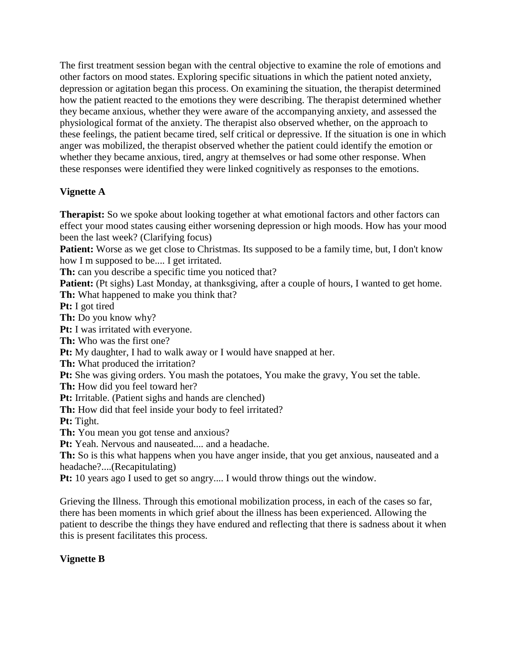The first treatment session began with the central objective to examine the role of emotions and other factors on mood states. Exploring specific situations in which the patient noted anxiety, depression or agitation began this process. On examining the situation, the therapist determined how the patient reacted to the emotions they were describing. The therapist determined whether they became anxious, whether they were aware of the accompanying anxiety, and assessed the physiological format of the anxiety. The therapist also observed whether, on the approach to these feelings, the patient became tired, self critical or depressive. If the situation is one in which anger was mobilized, the therapist observed whether the patient could identify the emotion or whether they became anxious, tired, angry at themselves or had some other response. When these responses were identified they were linked cognitively as responses to the emotions.

# **Vignette A**

**Therapist:** So we spoke about looking together at what emotional factors and other factors can effect your mood states causing either worsening depression or high moods. How has your mood been the last week? (Clarifying focus)

**Patient:** Worse as we get close to Christmas. Its supposed to be a family time, but, I don't know how I m supposed to be.... I get irritated.

**Th:** can you describe a specific time you noticed that?

**Patient:** (Pt sighs) Last Monday, at thanksgiving, after a couple of hours, I wanted to get home. **Th:** What happened to make you think that?

**Pt:** I got tired

**Th:** Do you know why?

Pt: I was irritated with everyone.

**Th:** Who was the first one?

**Pt:** My daughter, I had to walk away or I would have snapped at her.

**Th:** What produced the irritation?

**Pt:** She was giving orders. You mash the potatoes, You make the gravy, You set the table.

**Th:** How did you feel toward her?

**Pt:** Irritable. (Patient sighs and hands are clenched)

Th: How did that feel inside your body to feel irritated?

**Pt:** Tight.

**Th:** You mean you got tense and anxious?

**Pt:** Yeah. Nervous and nauseated.... and a headache.

**Th:** So is this what happens when you have anger inside, that you get anxious, nauseated and a headache?....(Recapitulating)

**Pt:** 10 years ago I used to get so angry.... I would throw things out the window.

Grieving the Illness. Through this emotional mobilization process, in each of the cases so far, there has been moments in which grief about the illness has been experienced. Allowing the patient to describe the things they have endured and reflecting that there is sadness about it when this is present facilitates this process.

# **Vignette B**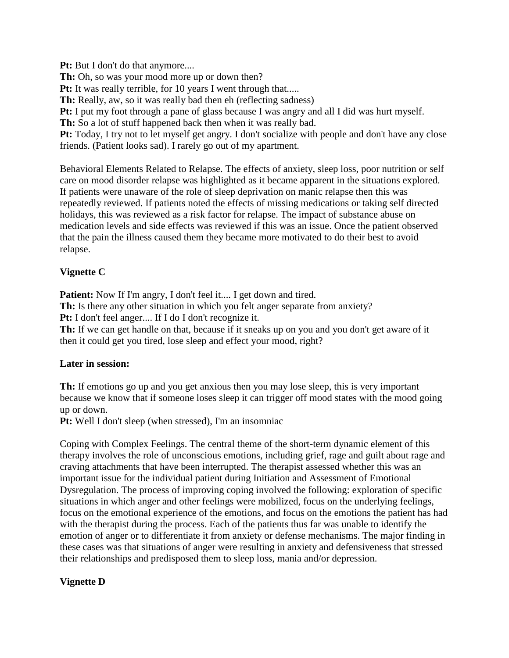**Pt:** But I don't do that anymore....

Th: Oh, so was your mood more up or down then?

Pt: It was really terrible, for 10 years I went through that.....

**Th:** Really, aw, so it was really bad then eh (reflecting sadness)

**Pt:** I put my foot through a pane of glass because I was angry and all I did was hurt myself.

Th: So a lot of stuff happened back then when it was really bad.

**Pt:** Today, I try not to let myself get angry. I don't socialize with people and don't have any close friends. (Patient looks sad). I rarely go out of my apartment.

Behavioral Elements Related to Relapse. The effects of anxiety, sleep loss, poor nutrition or self care on mood disorder relapse was highlighted as it became apparent in the situations explored. If patients were unaware of the role of sleep deprivation on manic relapse then this was repeatedly reviewed. If patients noted the effects of missing medications or taking self directed holidays, this was reviewed as a risk factor for relapse. The impact of substance abuse on medication levels and side effects was reviewed if this was an issue. Once the patient observed that the pain the illness caused them they became more motivated to do their best to avoid relapse.

## **Vignette C**

**Patient:** Now If I'm angry, I don't feel it.... I get down and tired.

**Th:** Is there any other situation in which you felt anger separate from anxiety?

**Pt:** I don't feel anger.... If I do I don't recognize it.

**Th:** If we can get handle on that, because if it sneaks up on you and you don't get aware of it then it could get you tired, lose sleep and effect your mood, right?

## **Later in session:**

**Th:** If emotions go up and you get anxious then you may lose sleep, this is very important because we know that if someone loses sleep it can trigger off mood states with the mood going up or down.

**Pt:** Well I don't sleep (when stressed), I'm an insomniac

Coping with Complex Feelings. The central theme of the short-term dynamic element of this therapy involves the role of unconscious emotions, including grief, rage and guilt about rage and craving attachments that have been interrupted. The therapist assessed whether this was an important issue for the individual patient during Initiation and Assessment of Emotional Dysregulation. The process of improving coping involved the following: exploration of specific situations in which anger and other feelings were mobilized, focus on the underlying feelings, focus on the emotional experience of the emotions, and focus on the emotions the patient has had with the therapist during the process. Each of the patients thus far was unable to identify the emotion of anger or to differentiate it from anxiety or defense mechanisms. The major finding in these cases was that situations of anger were resulting in anxiety and defensiveness that stressed their relationships and predisposed them to sleep loss, mania and/or depression.

## **Vignette D**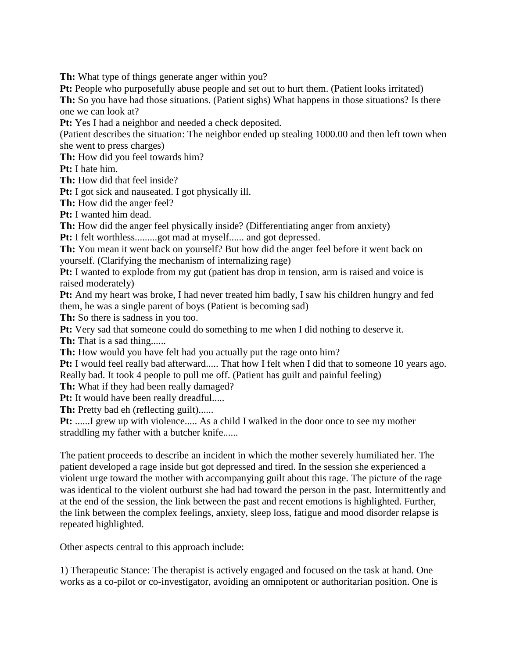**Th:** What type of things generate anger within you?

**Pt:** People who purposefully abuse people and set out to hurt them. (Patient looks irritated)

**Th:** So you have had those situations. (Patient sighs) What happens in those situations? Is there one we can look at?

Pt: Yes I had a neighbor and needed a check deposited.

(Patient describes the situation: The neighbor ended up stealing 1000.00 and then left town when she went to press charges)

**Th:** How did you feel towards him?

**Pt:** I hate him.

**Th:** How did that feel inside?

**Pt:** I got sick and nauseated. I got physically ill.

**Th:** How did the anger feel?

**Pt:** I wanted him dead.

**Th:** How did the anger feel physically inside? (Differentiating anger from anxiety)

**Pt:** I felt worthless.........got mad at myself...... and got depressed.

**Th:** You mean it went back on yourself? But how did the anger feel before it went back on yourself. (Clarifying the mechanism of internalizing rage)

**Pt:** I wanted to explode from my gut (patient has drop in tension, arm is raised and voice is raised moderately)

**Pt:** And my heart was broke, I had never treated him badly, I saw his children hungry and fed them, he was a single parent of boys (Patient is becoming sad)

Th: So there is sadness in you too.

**Pt:** Very sad that someone could do something to me when I did nothing to deserve it.

**Th:** That is a sad thing......

**Th:** How would you have felt had you actually put the rage onto him?

**Pt:** I would feel really bad afterward..... That how I felt when I did that to someone 10 years ago. Really bad. It took 4 people to pull me off. (Patient has guilt and painful feeling)

**Th:** What if they had been really damaged?

**Pt:** It would have been really dreadful.....

**Th:** Pretty bad eh (reflecting guilt)......

**Pt:** ......I grew up with violence..... As a child I walked in the door once to see my mother straddling my father with a butcher knife......

The patient proceeds to describe an incident in which the mother severely humiliated her. The patient developed a rage inside but got depressed and tired. In the session she experienced a violent urge toward the mother with accompanying guilt about this rage. The picture of the rage was identical to the violent outburst she had had toward the person in the past. Intermittently and at the end of the session, the link between the past and recent emotions is highlighted. Further, the link between the complex feelings, anxiety, sleep loss, fatigue and mood disorder relapse is repeated highlighted.

Other aspects central to this approach include:

1) Therapeutic Stance: The therapist is actively engaged and focused on the task at hand. One works as a co-pilot or co-investigator, avoiding an omnipotent or authoritarian position. One is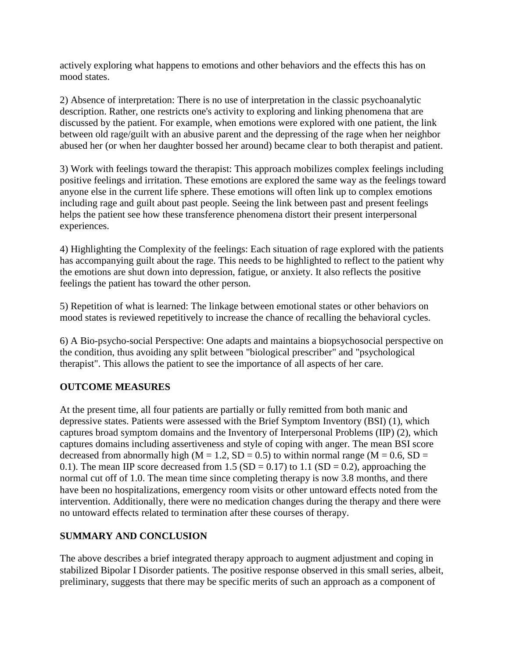actively exploring what happens to emotions and other behaviors and the effects this has on mood states.

2) Absence of interpretation: There is no use of interpretation in the classic psychoanalytic description. Rather, one restricts one's activity to exploring and linking phenomena that are discussed by the patient. For example, when emotions were explored with one patient, the link between old rage/guilt with an abusive parent and the depressing of the rage when her neighbor abused her (or when her daughter bossed her around) became clear to both therapist and patient.

3) Work with feelings toward the therapist: This approach mobilizes complex feelings including positive feelings and irritation. These emotions are explored the same way as the feelings toward anyone else in the current life sphere. These emotions will often link up to complex emotions including rage and guilt about past people. Seeing the link between past and present feelings helps the patient see how these transference phenomena distort their present interpersonal experiences.

4) Highlighting the Complexity of the feelings: Each situation of rage explored with the patients has accompanying guilt about the rage. This needs to be highlighted to reflect to the patient why the emotions are shut down into depression, fatigue, or anxiety. It also reflects the positive feelings the patient has toward the other person.

5) Repetition of what is learned: The linkage between emotional states or other behaviors on mood states is reviewed repetitively to increase the chance of recalling the behavioral cycles.

6) A Bio-psycho-social Perspective: One adapts and maintains a biopsychosocial perspective on the condition, thus avoiding any split between "biological prescriber" and "psychological therapist". This allows the patient to see the importance of all aspects of her care.

# **OUTCOME MEASURES**

At the present time, all four patients are partially or fully remitted from both manic and depressive states. Patients were assessed with the Brief Symptom Inventory (BSI) (1), which captures broad symptom domains and the Inventory of Interpersonal Problems (IIP) (2), which captures domains including assertiveness and style of coping with anger. The mean BSI score decreased from abnormally high ( $M = 1.2$ ,  $SD = 0.5$ ) to within normal range ( $M = 0.6$ ,  $SD =$ 0.1). The mean IIP score decreased from 1.5 (SD = 0.17) to 1.1 (SD = 0.2), approaching the normal cut off of 1.0. The mean time since completing therapy is now 3.8 months, and there have been no hospitalizations, emergency room visits or other untoward effects noted from the intervention. Additionally, there were no medication changes during the therapy and there were no untoward effects related to termination after these courses of therapy.

## **SUMMARY AND CONCLUSION**

The above describes a brief integrated therapy approach to augment adjustment and coping in stabilized Bipolar I Disorder patients. The positive response observed in this small series, albeit, preliminary, suggests that there may be specific merits of such an approach as a component of